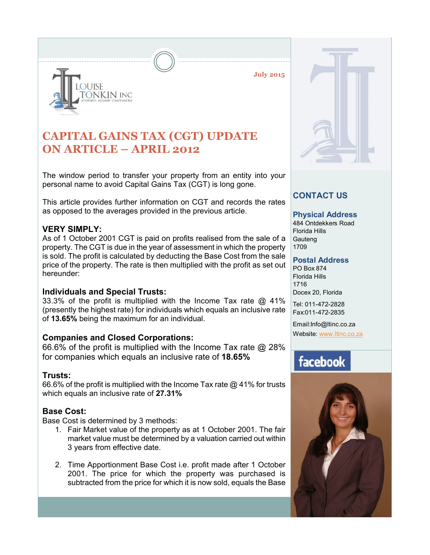

**July 2015**

## **CAPITAL GAINS TAX (CGT) UPDATE ON ARTICLE – APRIL 2012**

The window period to transfer your property from an entity into your personal name to avoid Capital Gains Tax (CGT) is long gone.

This article provides further information on CGT and records the rates as opposed to the averages provided in the previous article.

## **VERY SIMPLY:**

As of 1 October 2001 CGT is paid on profits realised from the sale of a property. The CGT is due in the year of assessment in which the property is sold. The profit is calculated by deducting the Base Cost from the sale price of the property. The rate is then multiplied with the profit as set out hereunder:

## **Individuals and Special Trusts:**

33.3% of the profit is multiplied with the Income Tax rate @ 41% (presently the highest rate) for individuals which equals an inclusive rate of **13.65%** being the maximum for an individual.

## **Companies and Closed Corporations:**

66.6% of the profit is multiplied with the Income Tax rate @ 28% for companies which equals an inclusive rate of **18.65%**

## **Trusts:**

66.6% of the profit is multiplied with the Income Tax rate @ 41% for trusts which equals an inclusive rate of **27.31%**

## **Base Cost:**

Base Cost is determined by 3 methods:

- 1. Fair Market value of the property as at 1 October 2001. The fair market value must be determined by a valuation carried out within 3 years from effective date.
- 2. Time Apportionment Base Cost i.e. profit made after 1 October 2001. The price for which the property was purchased is subtracted from the price for which it is now sold, equals the Base



## **CONTACT US**

### **Physical Address**

484 Ontdekkers Road Florida Hills **Gauteng** 1709

#### **Postal Address**

PO Box 874 Florida Hills 1716 Docex 20, Florida

Tel: 011-472-2828 Fax:011-472-2835

Email:Info@ltinc.co.za Website: www.ltinc.co.za

# facebook